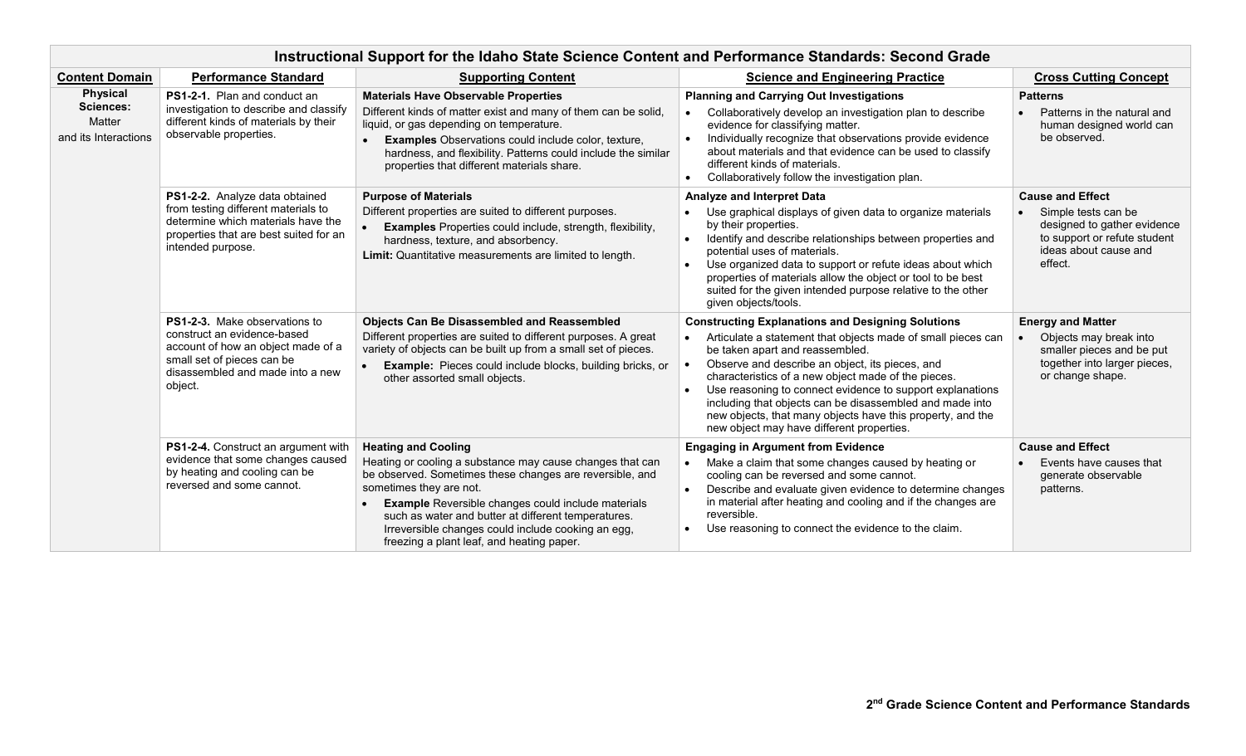| Instructional Support for the Idaho State Science Content and Performance Standards: Second Grade |                                                                                                                                                                                        |                                                                                                                                                                                                                                                                                                                                                                                                                    |                                                                                                                                                                                                                                                                                                                                                                                                                                                                                                           |                                                                                                                                                   |  |  |  |
|---------------------------------------------------------------------------------------------------|----------------------------------------------------------------------------------------------------------------------------------------------------------------------------------------|--------------------------------------------------------------------------------------------------------------------------------------------------------------------------------------------------------------------------------------------------------------------------------------------------------------------------------------------------------------------------------------------------------------------|-----------------------------------------------------------------------------------------------------------------------------------------------------------------------------------------------------------------------------------------------------------------------------------------------------------------------------------------------------------------------------------------------------------------------------------------------------------------------------------------------------------|---------------------------------------------------------------------------------------------------------------------------------------------------|--|--|--|
| <b>Content Domain</b>                                                                             | <b>Performance Standard</b>                                                                                                                                                            | <b>Supporting Content</b>                                                                                                                                                                                                                                                                                                                                                                                          | <b>Science and Engineering Practice</b>                                                                                                                                                                                                                                                                                                                                                                                                                                                                   | <b>Cross Cutting Concept</b>                                                                                                                      |  |  |  |
| <b>Physical</b><br><b>Sciences:</b><br>Matter<br>and its Interactions                             | PS1-2-1. Plan and conduct an<br>investigation to describe and classify<br>different kinds of materials by their<br>observable properties.                                              | <b>Materials Have Observable Properties</b><br>Different kinds of matter exist and many of them can be solid,<br>liquid, or gas depending on temperature.<br><b>Examples</b> Observations could include color, texture,<br>hardness, and flexibility. Patterns could include the similar<br>properties that different materials share.                                                                             | <b>Planning and Carrying Out Investigations</b><br>• Collaboratively develop an investigation plan to describe<br>evidence for classifying matter.<br>Individually recognize that observations provide evidence<br>about materials and that evidence can be used to classify<br>different kinds of materials.<br>Collaboratively follow the investigation plan.                                                                                                                                           | <b>Patterns</b><br>Patterns in the natural and<br>human designed world can<br>be observed.                                                        |  |  |  |
|                                                                                                   | PS1-2-2. Analyze data obtained<br>from testing different materials to<br>determine which materials have the<br>properties that are best suited for an<br>intended purpose.             | <b>Purpose of Materials</b><br>Different properties are suited to different purposes.<br><b>Examples</b> Properties could include, strength, flexibility,<br>hardness, texture, and absorbency.<br>Limit: Quantitative measurements are limited to length.                                                                                                                                                         | Analyze and Interpret Data<br>Use graphical displays of given data to organize materials<br>by their properties.<br>Identify and describe relationships between properties and<br>potential uses of materials.<br>Use organized data to support or refute ideas about which<br>properties of materials allow the object or tool to be best<br>suited for the given intended purpose relative to the other<br>given objects/tools.                                                                         | <b>Cause and Effect</b><br>Simple tests can be<br>designed to gather evidence<br>to support or refute student<br>ideas about cause and<br>effect. |  |  |  |
|                                                                                                   | <b>PS1-2-3.</b> Make observations to<br>construct an evidence-based<br>account of how an object made of a<br>small set of pieces can be<br>disassembled and made into a new<br>object. | <b>Objects Can Be Disassembled and Reassembled</b><br>Different properties are suited to different purposes. A great<br>variety of objects can be built up from a small set of pieces.<br><b>Example:</b> Pieces could include blocks, building bricks, or<br>other assorted small objects.                                                                                                                        | <b>Constructing Explanations and Designing Solutions</b><br>Articulate a statement that objects made of small pieces can<br>be taken apart and reassembled.<br>Observe and describe an object, its pieces, and<br>characteristics of a new object made of the pieces.<br>Use reasoning to connect evidence to support explanations<br>including that objects can be disassembled and made into<br>new objects, that many objects have this property, and the<br>new object may have different properties. | <b>Energy and Matter</b><br>Objects may break into<br>smaller pieces and be put<br>together into larger pieces,<br>or change shape.               |  |  |  |
|                                                                                                   | PS1-2-4. Construct an argument with<br>evidence that some changes caused<br>by heating and cooling can be<br>reversed and some cannot.                                                 | <b>Heating and Cooling</b><br>Heating or cooling a substance may cause changes that can<br>be observed. Sometimes these changes are reversible, and<br>sometimes they are not.<br><b>Example Reversible changes could include materials</b><br>$\bullet$<br>such as water and butter at different temperatures.<br>Irreversible changes could include cooking an egg,<br>freezing a plant leaf, and heating paper. | <b>Engaging in Argument from Evidence</b><br>Make a claim that some changes caused by heating or<br>cooling can be reversed and some cannot.<br>Describe and evaluate given evidence to determine changes<br>in material after heating and cooling and if the changes are<br>reversible.<br>Use reasoning to connect the evidence to the claim.                                                                                                                                                           | <b>Cause and Effect</b><br>Events have causes that<br>generate observable<br>patterns.                                                            |  |  |  |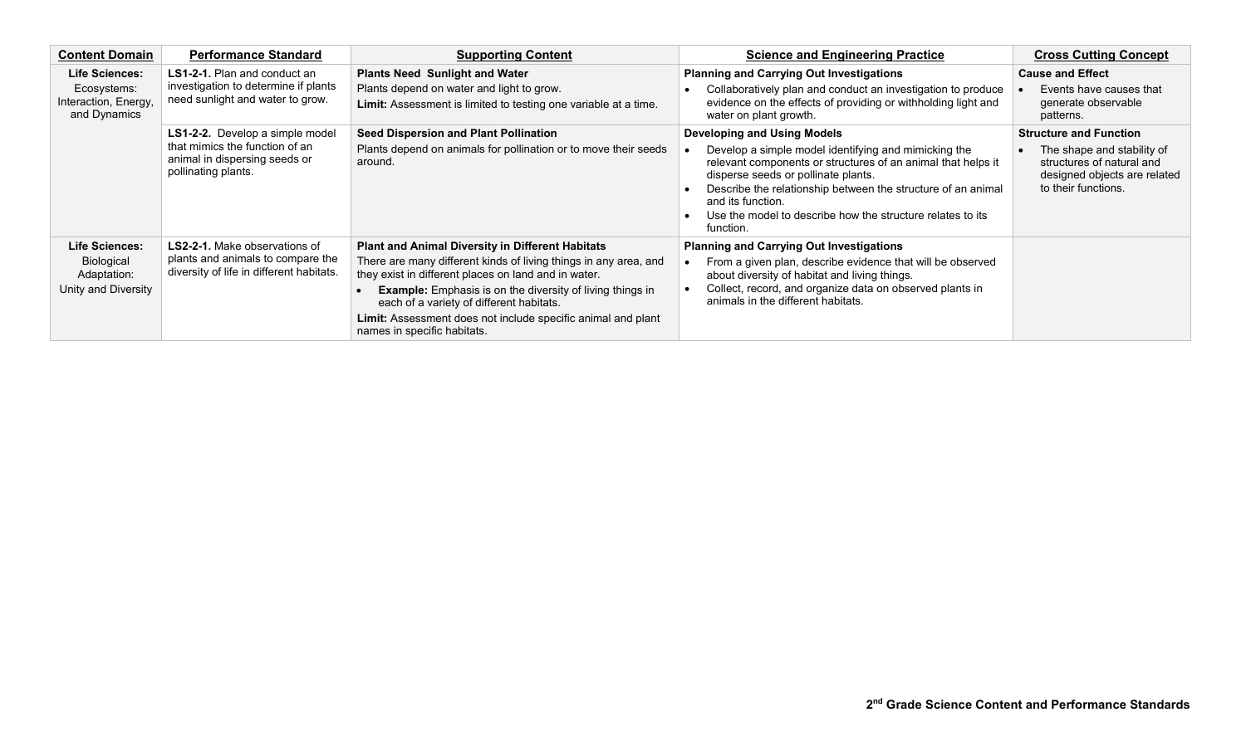| <b>Content Domain</b>                                                 | <b>Performance Standard</b>                                                                                                      | <b>Supporting Content</b>                                                                                                                                                                                                                                                                                                                                                                          | <b>Science and Engineering Practice</b>                                                                                                                                                                                                                                                                                                                           | <b>Cross Cutting Concept</b>                                                                                                                    |
|-----------------------------------------------------------------------|----------------------------------------------------------------------------------------------------------------------------------|----------------------------------------------------------------------------------------------------------------------------------------------------------------------------------------------------------------------------------------------------------------------------------------------------------------------------------------------------------------------------------------------------|-------------------------------------------------------------------------------------------------------------------------------------------------------------------------------------------------------------------------------------------------------------------------------------------------------------------------------------------------------------------|-------------------------------------------------------------------------------------------------------------------------------------------------|
| Life Sciences:<br>Ecosystems:<br>Interaction, Energy,<br>and Dynamics | LS1-2-1. Plan and conduct an<br>investigation to determine if plants<br>need sunlight and water to grow.                         | <b>Plants Need Sunlight and Water</b><br>Plants depend on water and light to grow.<br><b>Limit:</b> Assessment is limited to testing one variable at a time.                                                                                                                                                                                                                                       | <b>Planning and Carrying Out Investigations</b><br>Collaboratively plan and conduct an investigation to produce<br>evidence on the effects of providing or withholding light and<br>water on plant growth.                                                                                                                                                        | <b>Cause and Effect</b><br>Events have causes that<br>generate observable<br>patterns.                                                          |
|                                                                       | <b>LS1-2-2.</b> Develop a simple model<br>that mimics the function of an<br>animal in dispersing seeds or<br>pollinating plants. | <b>Seed Dispersion and Plant Pollination</b><br>Plants depend on animals for pollination or to move their seeds<br>around.                                                                                                                                                                                                                                                                         | <b>Developing and Using Models</b><br>Develop a simple model identifying and mimicking the<br>relevant components or structures of an animal that helps it<br>disperse seeds or pollinate plants.<br>Describe the relationship between the structure of an animal<br>and its function.<br>Use the model to describe how the structure relates to its<br>function. | <b>Structure and Function</b><br>The shape and stability of<br>structures of natural and<br>designed objects are related<br>to their functions. |
| Life Sciences:<br>Biological<br>Adaptation:<br>Unity and Diversity    | LS2-2-1. Make observations of<br>plants and animals to compare the<br>diversity of life in different habitats.                   | <b>Plant and Animal Diversity in Different Habitats</b><br>There are many different kinds of living things in any area, and<br>they exist in different places on land and in water.<br><b>Example:</b> Emphasis is on the diversity of living things in<br>each of a variety of different habitats.<br>Limit: Assessment does not include specific animal and plant<br>names in specific habitats. | <b>Planning and Carrying Out Investigations</b><br>From a given plan, describe evidence that will be observed<br>about diversity of habitat and living things.<br>Collect, record, and organize data on observed plants in<br>animals in the different habitats.                                                                                                  |                                                                                                                                                 |